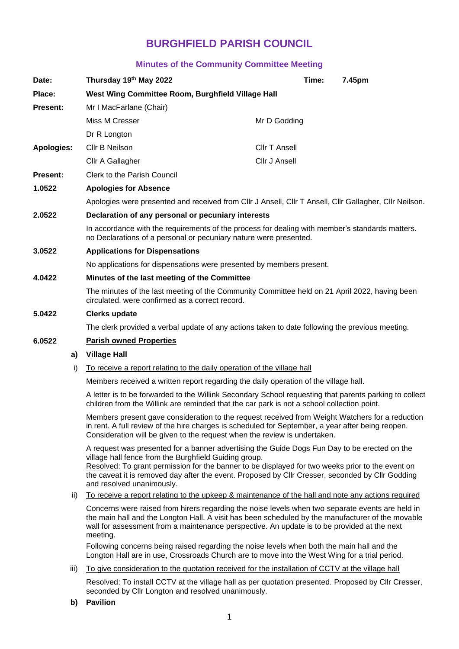# **BURGHFIELD PARISH COUNCIL**

# **Minutes of the Community Committee Meeting**

| Date:             |    | Thursday 19th May 2022                                                                                                                                               |                      | Time: | 7.45pm |
|-------------------|----|----------------------------------------------------------------------------------------------------------------------------------------------------------------------|----------------------|-------|--------|
| Place:            |    | West Wing Committee Room, Burghfield Village Hall                                                                                                                    |                      |       |        |
| <b>Present:</b>   |    | Mr I MacFarlane (Chair)                                                                                                                                              |                      |       |        |
|                   |    | Miss M Cresser                                                                                                                                                       | Mr D Godding         |       |        |
|                   |    | Dr R Longton                                                                                                                                                         |                      |       |        |
| <b>Apologies:</b> |    | Cllr B Neilson                                                                                                                                                       | <b>Cllr T Ansell</b> |       |        |
|                   |    | Cllr A Gallagher                                                                                                                                                     | Cllr J Ansell        |       |        |
| <b>Present:</b>   |    | Clerk to the Parish Council                                                                                                                                          |                      |       |        |
| 1.0522            |    | <b>Apologies for Absence</b>                                                                                                                                         |                      |       |        |
|                   |    | Apologies were presented and received from Cllr J Ansell, Cllr T Ansell, Cllr Gallagher, Cllr Neilson.                                                               |                      |       |        |
| 2.0522            |    | Declaration of any personal or pecuniary interests                                                                                                                   |                      |       |        |
|                   |    | In accordance with the requirements of the process for dealing with member's standards matters.<br>no Declarations of a personal or pecuniary nature were presented. |                      |       |        |
| 3.0522            |    | <b>Applications for Dispensations</b>                                                                                                                                |                      |       |        |
|                   |    | No applications for dispensations were presented by members present.                                                                                                 |                      |       |        |
| 4.0422            |    | Minutes of the last meeting of the Committee                                                                                                                         |                      |       |        |
|                   |    | The minutes of the last meeting of the Community Committee held on 21 April 2022, having been<br>circulated, were confirmed as a correct record.                     |                      |       |        |
| 5.0422            |    | <b>Clerks update</b>                                                                                                                                                 |                      |       |        |
|                   |    | The clerk provided a verbal update of any actions taken to date following the previous meeting.                                                                      |                      |       |        |
| 6.0522            |    | <b>Parish owned Properties</b>                                                                                                                                       |                      |       |        |
|                   | a) | <b>Village Hall</b>                                                                                                                                                  |                      |       |        |
|                   |    | the contract of the contract of the contract of the contract of the contract of the contract of the contract of                                                      |                      |       |        |

i) To receive a report relating to the daily operation of the village hall

Members received a written report regarding the daily operation of the village hall.

A letter is to be forwarded to the Willink Secondary School requesting that parents parking to collect children from the Willink are reminded that the car park is not a school collection point.

Members present gave consideration to the request received from Weight Watchers for a reduction in rent. A full review of the hire charges is scheduled for September, a year after being reopen. Consideration will be given to the request when the review is undertaken.

A request was presented for a banner advertising the Guide Dogs Fun Day to be erected on the village hall fence from the Burghfield Guiding group.

Resolved: To grant permission for the banner to be displayed for two weeks prior to the event on the caveat it is removed day after the event. Proposed by Cllr Cresser, seconded by Cllr Godding and resolved unanimously.

ii) To receive a report relating to the upkeep & maintenance of the hall and note any actions required

Concerns were raised from hirers regarding the noise levels when two separate events are held in the main hall and the Longton Hall. A visit has been scheduled by the manufacturer of the movable wall for assessment from a maintenance perspective. An update is to be provided at the next meeting.

Following concerns being raised regarding the noise levels when both the main hall and the Longton Hall are in use, Crossroads Church are to move into the West Wing for a trial period.

iii) To give consideration to the quotation received for the installation of CCTV at the village hall

Resolved: To install CCTV at the village hall as per quotation presented. Proposed by Cllr Cresser, seconded by Cllr Longton and resolved unanimously.

**b) Pavilion**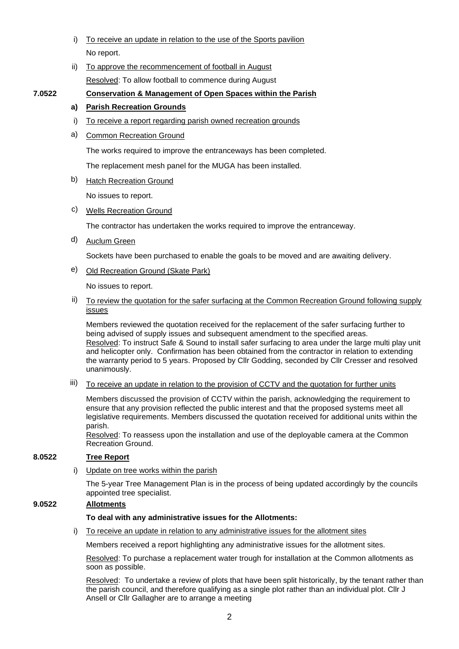- i) To receive an update in relation to the use of the Sports pavilion No report.
- ii) To approve the recommencement of football in August Resolved: To allow football to commence during August

# **7.0522 Conservation & Management of Open Spaces within the Parish**

## **a) Parish Recreation Grounds**

- i) To receive a report regarding parish owned recreation grounds
- a) Common Recreation Ground

The works required to improve the entranceways has been completed.

The replacement mesh panel for the MUGA has been installed.

#### b) Hatch Recreation Ground

No issues to report.

#### c) Wells Recreation Ground

The contractor has undertaken the works required to improve the entranceway.

# d) Auclum Green

Sockets have been purchased to enable the goals to be moved and are awaiting delivery.

e) Old Recreation Ground (Skate Park)

No issues to report.

#### ii) To review the quotation for the safer surfacing at the Common Recreation Ground following supply issues

Members reviewed the quotation received for the replacement of the safer surfacing further to being advised of supply issues and subsequent amendment to the specified areas. Resolved: To instruct Safe & Sound to install safer surfacing to area under the large multi play unit and helicopter only. Confirmation has been obtained from the contractor in relation to extending the warranty period to 5 years. Proposed by Cllr Godding, seconded by Cllr Cresser and resolved unanimously.

# iii) To receive an update in relation to the provision of CCTV and the quotation for further units

Members discussed the provision of CCTV within the parish, acknowledging the requirement to ensure that any provision reflected the public interest and that the proposed systems meet all legislative requirements. Members discussed the quotation received for additional units within the parish.

Resolved: To reassess upon the installation and use of the deployable camera at the Common Recreation Ground.

### **8.0522 Tree Report**

i) Update on tree works within the parish

The 5-year Tree Management Plan is in the process of being updated accordingly by the councils appointed tree specialist.

#### **9.0522 Allotments**

#### **To deal with any administrative issues for the Allotments:**

i) To receive an update in relation to any administrative issues for the allotment sites

Members received a report highlighting any administrative issues for the allotment sites.

Resolved: To purchase a replacement water trough for installation at the Common allotments as soon as possible.

Resolved: To undertake a review of plots that have been split historically, by the tenant rather than the parish council, and therefore qualifying as a single plot rather than an individual plot. Cllr J Ansell or Cllr Gallagher are to arrange a meeting